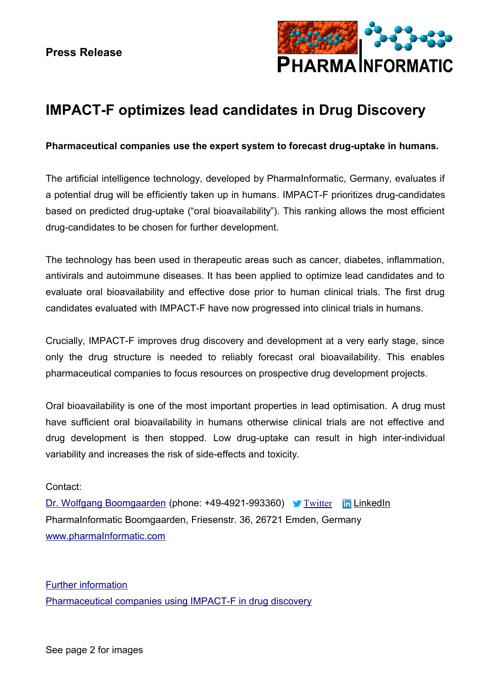

## **IMPACT-F optimizes lead candidates in Drug Discovery**

## **Pharmaceutical companies use the expert system to forecast drug-uptake in humans.**

The artificial intelligence technology, developed by PharmaInformatic, Germany, evaluates if a potential drug will be efficiently taken up in humans. IMPACT-F prioritizes drug-candidates based on predicted drug-uptake ("oral bioavailability"). This ranking allows the most efficient drug-candidates to be chosen for further development.

The technology has been used in therapeutic areas such as cancer, diabetes, inflammation, antivirals and autoimmune diseases. It has been applied to optimize lead candidates and to evaluate oral bioavailability and effective dose prior to human clinical trials. The first drug candidates evaluated with IMPACT-F have now progressed into clinical trials in humans.

Crucially, IMPACT-F improves drug discovery and development at a very early stage, since only the drug structure is needed to reliably forecast oral bioavailability. This enables pharmaceutical companies to focus resources on prospective drug development projects.

Oral bioavailability is one of the most important properties in lead optimisation. A drug must have sufficient oral bioavailability in humans otherwise clinical trials are not effective and drug development is then stopped. Low drug-uptake can result in high inter-individual variability and increases the risk of side-effects and toxicity.

## Contact:

[Dr. Wolfgang Boomgaarden](mailto:wboom@molscore.de) (phone: +49-4921-993360) [Twitter](https://twitter.com/PharmaInformati) In [LinkedIn](http://www.linkedin.com/in/pharmainformatic) PharmaInformatic Boomgaarden, Friesenstr. 36, 26721 Emden, Germany [www.pharmaInformatic.com](http://www.pharmainformatic.com/)

[Further information](http://www.pharmainformatic.com/html/lead_optimization.html#PM) [Pharmaceutical companies using IMPACT-F in drug discovery](http://www.pharmainformatic.com/html/partnerships.html)